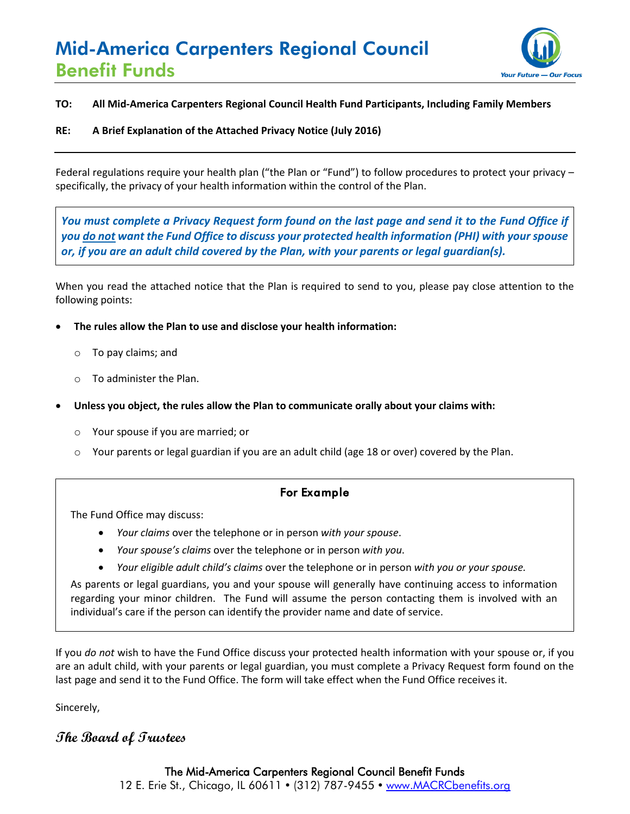# Mid-America Carpenters Regional Council Benefit Funds



#### **TO: All Mid-America Carpenters Regional Council Health Fund Participants, Including Family Members**

#### **RE: A Brief Explanation of the Attached Privacy Notice (July 2016)**

Federal regulations require your health plan ("the Plan or "Fund") to follow procedures to protect your privacy – specifically, the privacy of your health information within the control of the Plan.

*You must complete a Privacy Request form found on the last page and send it to the Fund Office if you do not want the Fund Office to discuss your protected health information (PHI) with your spouse or, if you are an adult child covered by the Plan, with your parents or legal guardian(s).*

When you read the attached notice that the Plan is required to send to you, please pay close attention to the following points:

- **The rules allow the Plan to use and disclose your health information:**
	- o To pay claims; and
	- o To administer the Plan.
- **Unless you object, the rules allow the Plan to communicate orally about your claims with:**
	- o Your spouse if you are married; or
	- Your parents or legal guardian if you are an adult child (age 18 or over) covered by the Plan.

# For Example

The Fund Office may discuss:

- *Your claims* over the telephone or in person *with your spouse*.
- *Your spouse's claims* over the telephone or in person *with you*.
- *Your eligible adult child's claims* over the telephone or in person *with you or your spouse.*

As parents or legal guardians, you and your spouse will generally have continuing access to information regarding your minor children. The Fund will assume the person contacting them is involved with an individual's care if the person can identify the provider name and date of service.

If you *do not* wish to have the Fund Office discuss your protected health information with your spouse or, if you are an adult child, with your parents or legal guardian, you must complete a Privacy Request form found on the last page and send it to the Fund Office. The form will take effect when the Fund Office receives it.

Sincerely,

# **The Board of Trustees**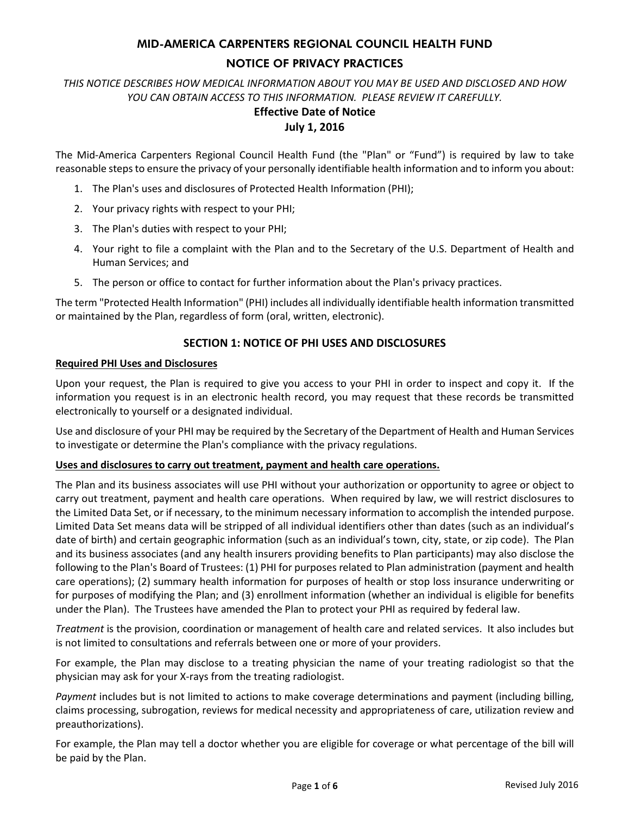# MID-AMERICA CARPENTERS REGIONAL COUNCIL HEALTH FUND

#### NOTICE OF PRIVACY PRACTICES

*THIS NOTICE DESCRIBES HOW MEDICAL INFORMATION ABOUT YOU MAY BE USED AND DISCLOSED AND HOW YOU CAN OBTAIN ACCESS TO THIS INFORMATION. PLEASE REVIEW IT CAREFULLY.*

# **Effective Date of Notice**

# **July 1, 2016**

The Mid-America Carpenters Regional Council Health Fund (the "Plan" or "Fund") is required by law to take reasonable steps to ensure the privacy of your personally identifiable health information and to inform you about:

- 1. The Plan's uses and disclosures of Protected Health Information (PHI);
- 2. Your privacy rights with respect to your PHI;
- 3. The Plan's duties with respect to your PHI;
- 4. Your right to file a complaint with the Plan and to the Secretary of the U.S. Department of Health and Human Services; and
- 5. The person or office to contact for further information about the Plan's privacy practices.

The term "Protected Health Information" (PHI) includes all individually identifiable health information transmitted or maintained by the Plan, regardless of form (oral, written, electronic).

#### **SECTION 1: NOTICE OF PHI USES AND DISCLOSURES**

#### **Required PHI Uses and Disclosures**

Upon your request, the Plan is required to give you access to your PHI in order to inspect and copy it. If the information you request is in an electronic health record, you may request that these records be transmitted electronically to yourself or a designated individual.

Use and disclosure of your PHI may be required by the Secretary of the Department of Health and Human Services to investigate or determine the Plan's compliance with the privacy regulations.

#### **Uses and disclosures to carry out treatment, payment and health care operations.**

The Plan and its business associates will use PHI without your authorization or opportunity to agree or object to carry out treatment, payment and health care operations. When required by law, we will restrict disclosures to the Limited Data Set, or if necessary, to the minimum necessary information to accomplish the intended purpose. Limited Data Set means data will be stripped of all individual identifiers other than dates (such as an individual's date of birth) and certain geographic information (such as an individual's town, city, state, or zip code). The Plan and its business associates (and any health insurers providing benefits to Plan participants) may also disclose the following to the Plan's Board of Trustees: (1) PHI for purposes related to Plan administration (payment and health care operations); (2) summary health information for purposes of health or stop loss insurance underwriting or for purposes of modifying the Plan; and (3) enrollment information (whether an individual is eligible for benefits under the Plan). The Trustees have amended the Plan to protect your PHI as required by federal law.

*Treatment* is the provision, coordination or management of health care and related services. It also includes but is not limited to consultations and referrals between one or more of your providers.

For example, the Plan may disclose to a treating physician the name of your treating radiologist so that the physician may ask for your X-rays from the treating radiologist.

*Payment* includes but is not limited to actions to make coverage determinations and payment (including billing, claims processing, subrogation, reviews for medical necessity and appropriateness of care, utilization review and preauthorizations).

For example, the Plan may tell a doctor whether you are eligible for coverage or what percentage of the bill will be paid by the Plan.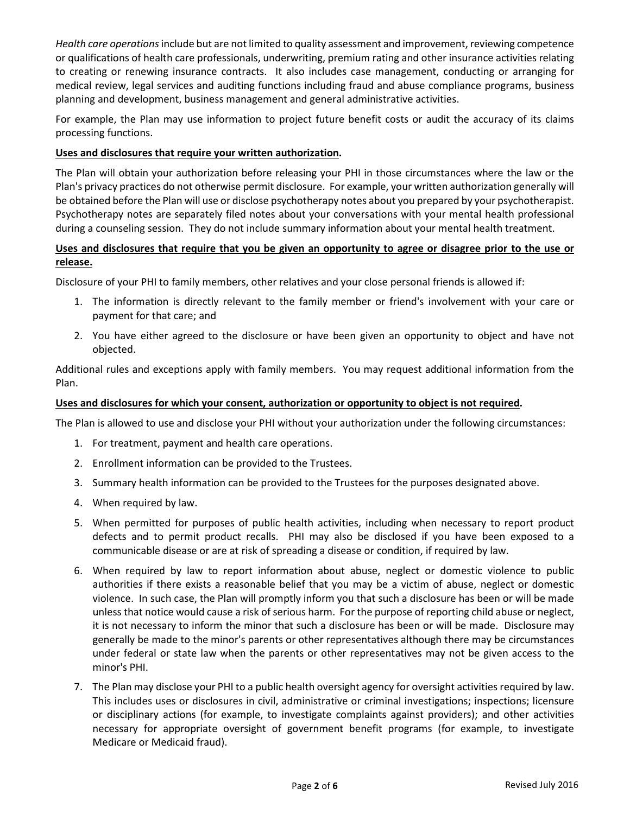*Health care operations*include but are not limited to quality assessment and improvement, reviewing competence or qualifications of health care professionals, underwriting, premium rating and other insurance activities relating to creating or renewing insurance contracts. It also includes case management, conducting or arranging for medical review, legal services and auditing functions including fraud and abuse compliance programs, business planning and development, business management and general administrative activities.

For example, the Plan may use information to project future benefit costs or audit the accuracy of its claims processing functions.

#### **Uses and disclosures that require your written authorization.**

The Plan will obtain your authorization before releasing your PHI in those circumstances where the law or the Plan's privacy practices do not otherwise permit disclosure. For example, your written authorization generally will be obtained before the Plan will use or disclose psychotherapy notes about you prepared by your psychotherapist. Psychotherapy notes are separately filed notes about your conversations with your mental health professional during a counseling session. They do not include summary information about your mental health treatment.

#### **Uses and disclosures that require that you be given an opportunity to agree or disagree prior to the use or release.**

Disclosure of your PHI to family members, other relatives and your close personal friends is allowed if:

- 1. The information is directly relevant to the family member or friend's involvement with your care or payment for that care; and
- 2. You have either agreed to the disclosure or have been given an opportunity to object and have not objected.

Additional rules and exceptions apply with family members. You may request additional information from the Plan.

#### **Uses and disclosures for which your consent, authorization or opportunity to object is not required.**

The Plan is allowed to use and disclose your PHI without your authorization under the following circumstances:

- 1. For treatment, payment and health care operations.
- 2. Enrollment information can be provided to the Trustees.
- 3. Summary health information can be provided to the Trustees for the purposes designated above.
- 4. When required by law.
- 5. When permitted for purposes of public health activities, including when necessary to report product defects and to permit product recalls. PHI may also be disclosed if you have been exposed to a communicable disease or are at risk of spreading a disease or condition, if required by law.
- 6. When required by law to report information about abuse, neglect or domestic violence to public authorities if there exists a reasonable belief that you may be a victim of abuse, neglect or domestic violence. In such case, the Plan will promptly inform you that such a disclosure has been or will be made unless that notice would cause a risk of serious harm. For the purpose of reporting child abuse or neglect, it is not necessary to inform the minor that such a disclosure has been or will be made. Disclosure may generally be made to the minor's parents or other representatives although there may be circumstances under federal or state law when the parents or other representatives may not be given access to the minor's PHI.
- 7. The Plan may disclose your PHI to a public health oversight agency for oversight activities required by law. This includes uses or disclosures in civil, administrative or criminal investigations; inspections; licensure or disciplinary actions (for example, to investigate complaints against providers); and other activities necessary for appropriate oversight of government benefit programs (for example, to investigate Medicare or Medicaid fraud).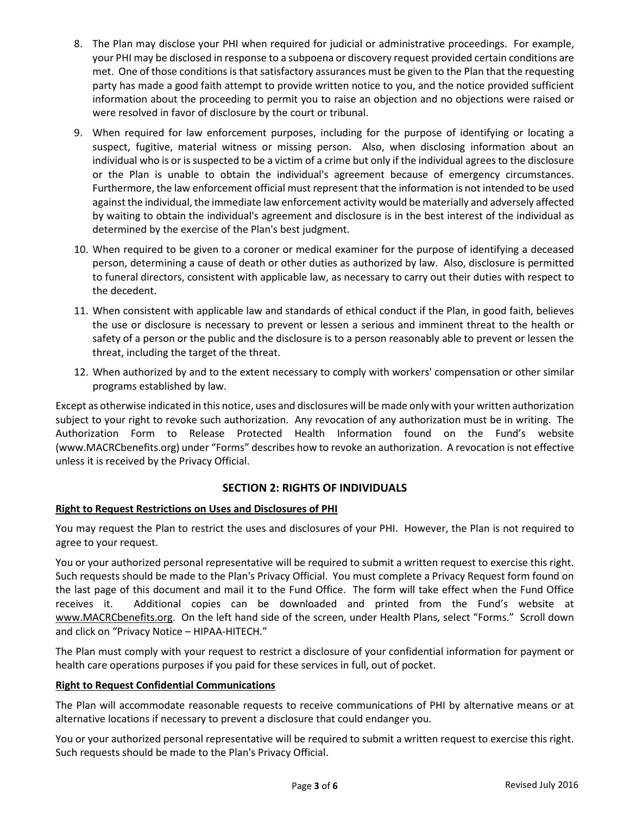- 8. The Plan may disclose your PHI when required for judicial or administrative proceedings. For example, your PHI may be disclosed in response to a subpoena or discovery request provided certain conditions are met. One of those conditions is that satisfactory assurances must be given to the Plan that the requesting party has made a good faith attempt to provide written notice to you, and the notice provided sufficient information about the proceeding to permit you to raise an objection and no objections were raised or were resolved in favor of disclosure by the court or tribunal.
- 9. When required for law enforcement purposes, including for the purpose of identifying or locating a suspect, fugitive, material witness or missing person. Also, when disclosing information about an individual who is or is suspected to be a victim of a crime but only if the individual agrees to the disclosure or the Plan is unable to obtain the individual's agreement because of emergency circumstances. Furthermore, the law enforcement official must represent that the information is not intended to be used against the individual, the immediate law enforcement activity would be materially and adversely affected by waiting to obtain the individual's agreement and disclosure is in the best interest of the individual as determined by the exercise of the Plan's best judgment.
- 10. When required to be given to a coroner or medical examiner for the purpose of identifying a deceased person, determining a cause of death or other duties as authorized by law. Also, disclosure is permitted to funeral directors, consistent with applicable law, as necessary to carry out their duties with respect to the decedent.
- 11. When consistent with applicable law and standards of ethical conduct if the Plan, in good faith, believes the use or disclosure is necessary to prevent or lessen a serious and imminent threat to the health or safety of a person or the public and the disclosure is to a person reasonably able to prevent or lessen the threat, including the target of the threat.
- 12. When authorized by and to the extent necessary to comply with workers' compensation or other similar programs established by law.

Except as otherwise indicated in this notice, uses and disclosures will be made only with your written authorization subject to your right to revoke such authorization. Any revocation of any authorization must be in writing. The Authorization Form to Release Protected Health Information found on the Fund's website (www.MACRCbenefits.org) under "Forms" describes how to revoke an authorization. A revocation is not effective unless it is received by the Privacy Official.

# **SECTION 2: RIGHTS OF INDIVIDUALS**

#### **Right to Request Restrictions on Uses and Disclosures of PHI**

You may request the Plan to restrict the uses and disclosures of your PHI. However, the Plan is not required to agree to your request.

You or your authorized personal representative will be required to submit a written request to exercise this right. Such requests should be made to the Plan's Privacy Official. You must complete a Privacy Request form found on the last page of this document and mail it to the Fund Office. The form will take effect when the Fund Office receives it. Additional copies can be downloaded and printed from the Fund's website at www.MACRCbenefits.org. On the left hand side of the screen, under Health Plans, select "Forms." Scroll down and click on "Privacy Notice – HIPAA-HITECH."

The Plan must comply with your request to restrict a disclosure of your confidential information for payment or health care operations purposes if you paid for these services in full, out of pocket.

#### **Right to Request Confidential Communications**

The Plan will accommodate reasonable requests to receive communications of PHI by alternative means or at alternative locations if necessary to prevent a disclosure that could endanger you.

You or your authorized personal representative will be required to submit a written request to exercise this right. Such requests should be made to the Plan's Privacy Official.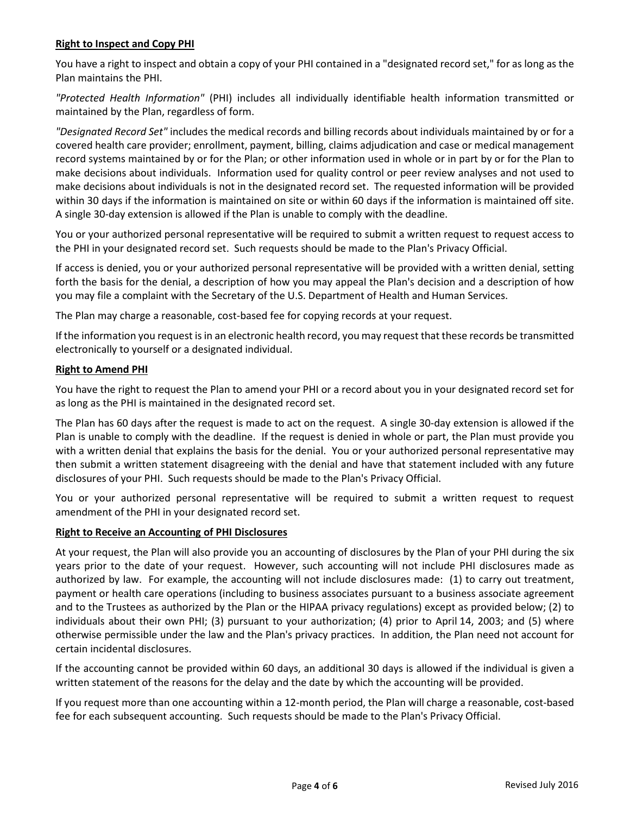#### **Right to Inspect and Copy PHI**

You have a right to inspect and obtain a copy of your PHI contained in a "designated record set," for as long as the Plan maintains the PHI.

*"Protected Health Information"* (PHI) includes all individually identifiable health information transmitted or maintained by the Plan, regardless of form.

*"Designated Record Set"* includes the medical records and billing records about individuals maintained by or for a covered health care provider; enrollment, payment, billing, claims adjudication and case or medical management record systems maintained by or for the Plan; or other information used in whole or in part by or for the Plan to make decisions about individuals. Information used for quality control or peer review analyses and not used to make decisions about individuals is not in the designated record set. The requested information will be provided within 30 days if the information is maintained on site or within 60 days if the information is maintained off site. A single 30-day extension is allowed if the Plan is unable to comply with the deadline.

You or your authorized personal representative will be required to submit a written request to request access to the PHI in your designated record set. Such requests should be made to the Plan's Privacy Official.

If access is denied, you or your authorized personal representative will be provided with a written denial, setting forth the basis for the denial, a description of how you may appeal the Plan's decision and a description of how you may file a complaint with the Secretary of the U.S. Department of Health and Human Services.

The Plan may charge a reasonable, cost-based fee for copying records at your request.

If the information you request is in an electronic health record, you may request that these records be transmitted electronically to yourself or a designated individual.

#### **Right to Amend PHI**

You have the right to request the Plan to amend your PHI or a record about you in your designated record set for as long as the PHI is maintained in the designated record set.

The Plan has 60 days after the request is made to act on the request. A single 30-day extension is allowed if the Plan is unable to comply with the deadline. If the request is denied in whole or part, the Plan must provide you with a written denial that explains the basis for the denial. You or your authorized personal representative may then submit a written statement disagreeing with the denial and have that statement included with any future disclosures of your PHI. Such requests should be made to the Plan's Privacy Official.

You or your authorized personal representative will be required to submit a written request to request amendment of the PHI in your designated record set.

#### **Right to Receive an Accounting of PHI Disclosures**

At your request, the Plan will also provide you an accounting of disclosures by the Plan of your PHI during the six years prior to the date of your request. However, such accounting will not include PHI disclosures made as authorized by law. For example, the accounting will not include disclosures made: (1) to carry out treatment, payment or health care operations (including to business associates pursuant to a business associate agreement and to the Trustees as authorized by the Plan or the HIPAA privacy regulations) except as provided below; (2) to individuals about their own PHI; (3) pursuant to your authorization; (4) prior to April 14, 2003; and (5) where otherwise permissible under the law and the Plan's privacy practices. In addition, the Plan need not account for certain incidental disclosures.

If the accounting cannot be provided within 60 days, an additional 30 days is allowed if the individual is given a written statement of the reasons for the delay and the date by which the accounting will be provided.

If you request more than one accounting within a 12-month period, the Plan will charge a reasonable, cost-based fee for each subsequent accounting. Such requests should be made to the Plan's Privacy Official.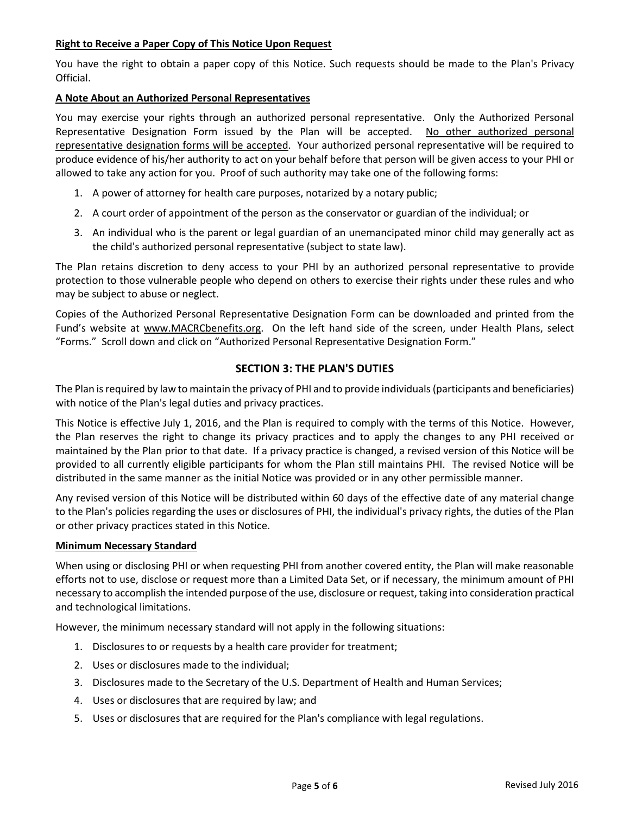#### **Right to Receive a Paper Copy of This Notice Upon Request**

You have the right to obtain a paper copy of this Notice. Such requests should be made to the Plan's Privacy Official.

#### **A Note About an Authorized Personal Representatives**

You may exercise your rights through an authorized personal representative. Only the Authorized Personal Representative Designation Form issued by the Plan will be accepted. No other authorized personal representative designation forms will be accepted. Your authorized personal representative will be required to produce evidence of his/her authority to act on your behalf before that person will be given access to your PHI or allowed to take any action for you. Proof of such authority may take one of the following forms:

- 1. A power of attorney for health care purposes, notarized by a notary public;
- 2. A court order of appointment of the person as the conservator or guardian of the individual; or
- 3. An individual who is the parent or legal guardian of an unemancipated minor child may generally act as the child's authorized personal representative (subject to state law).

The Plan retains discretion to deny access to your PHI by an authorized personal representative to provide protection to those vulnerable people who depend on others to exercise their rights under these rules and who may be subject to abuse or neglect.

Copies of the Authorized Personal Representative Designation Form can be downloaded and printed from the Fund's website at www.MACRCbenefits.org. On the left hand side of the screen, under Health Plans, select "Forms." Scroll down and click on "Authorized Personal Representative Designation Form."

#### **SECTION 3: THE PLAN'S DUTIES**

The Plan is required by law to maintain the privacy of PHI and to provide individuals (participants and beneficiaries) with notice of the Plan's legal duties and privacy practices.

This Notice is effective July 1, 2016, and the Plan is required to comply with the terms of this Notice. However, the Plan reserves the right to change its privacy practices and to apply the changes to any PHI received or maintained by the Plan prior to that date. If a privacy practice is changed, a revised version of this Notice will be provided to all currently eligible participants for whom the Plan still maintains PHI. The revised Notice will be distributed in the same manner as the initial Notice was provided or in any other permissible manner.

Any revised version of this Notice will be distributed within 60 days of the effective date of any material change to the Plan's policies regarding the uses or disclosures of PHI, the individual's privacy rights, the duties of the Plan or other privacy practices stated in this Notice.

#### **Minimum Necessary Standard**

When using or disclosing PHI or when requesting PHI from another covered entity, the Plan will make reasonable efforts not to use, disclose or request more than a Limited Data Set, or if necessary, the minimum amount of PHI necessary to accomplish the intended purpose of the use, disclosure or request, taking into consideration practical and technological limitations.

However, the minimum necessary standard will not apply in the following situations:

- 1. Disclosures to or requests by a health care provider for treatment;
- 2. Uses or disclosures made to the individual;
- 3. Disclosures made to the Secretary of the U.S. Department of Health and Human Services;
- 4. Uses or disclosures that are required by law; and
- 5. Uses or disclosures that are required for the Plan's compliance with legal regulations.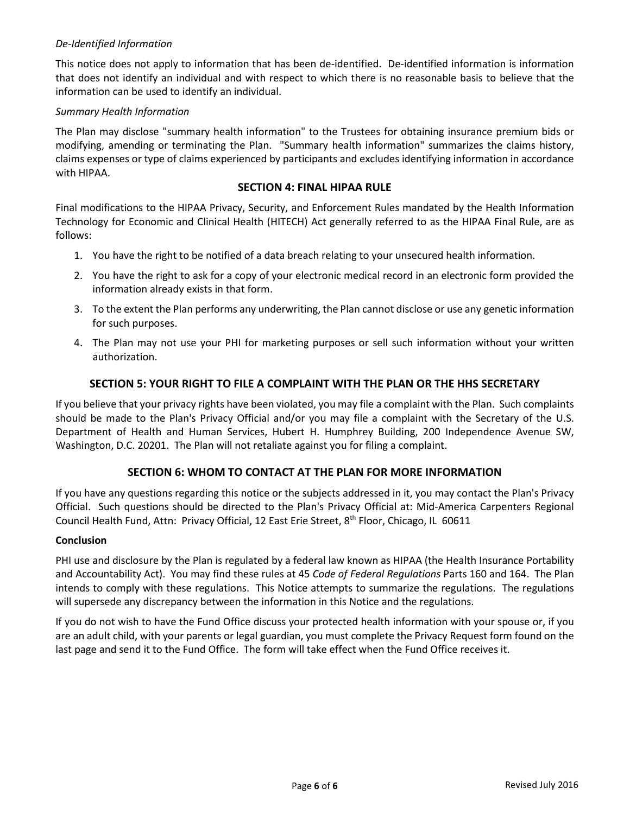#### *De-Identified Information*

This notice does not apply to information that has been de-identified. De-identified information is information that does not identify an individual and with respect to which there is no reasonable basis to believe that the information can be used to identify an individual.

#### *Summary Health Information*

The Plan may disclose "summary health information" to the Trustees for obtaining insurance premium bids or modifying, amending or terminating the Plan. "Summary health information" summarizes the claims history, claims expenses or type of claims experienced by participants and excludes identifying information in accordance with HIPAA.

#### **SECTION 4: FINAL HIPAA RULE**

Final modifications to the HIPAA Privacy, Security, and Enforcement Rules mandated by the Health Information Technology for Economic and Clinical Health (HITECH) Act generally referred to as the HIPAA Final Rule, are as follows:

- 1. You have the right to be notified of a data breach relating to your unsecured health information.
- 2. You have the right to ask for a copy of your electronic medical record in an electronic form provided the information already exists in that form.
- 3. To the extent the Plan performs any underwriting, the Plan cannot disclose or use any genetic information for such purposes.
- 4. The Plan may not use your PHI for marketing purposes or sell such information without your written authorization.

# **SECTION 5: YOUR RIGHT TO FILE A COMPLAINT WITH THE PLAN OR THE HHS SECRETARY**

If you believe that your privacy rights have been violated, you may file a complaint with the Plan. Such complaints should be made to the Plan's Privacy Official and/or you may file a complaint with the Secretary of the U.S. Department of Health and Human Services, Hubert H. Humphrey Building, 200 Independence Avenue SW, Washington, D.C. 20201. The Plan will not retaliate against you for filing a complaint.

# **SECTION 6: WHOM TO CONTACT AT THE PLAN FOR MORE INFORMATION**

If you have any questions regarding this notice or the subjects addressed in it, you may contact the Plan's Privacy Official. Such questions should be directed to the Plan's Privacy Official at: Mid-America Carpenters Regional Council Health Fund, Attn: Privacy Official, 12 East Erie Street, 8<sup>th</sup> Floor, Chicago, IL 60611

#### **Conclusion**

PHI use and disclosure by the Plan is regulated by a federal law known as HIPAA (the Health Insurance Portability and Accountability Act). You may find these rules at 45 *Code of Federal Regulations* Parts 160 and 164. The Plan intends to comply with these regulations. This Notice attempts to summarize the regulations. The regulations will supersede any discrepancy between the information in this Notice and the regulations.

If you do not wish to have the Fund Office discuss your protected health information with your spouse or, if you are an adult child, with your parents or legal guardian, you must complete the Privacy Request form found on the last page and send it to the Fund Office. The form will take effect when the Fund Office receives it.